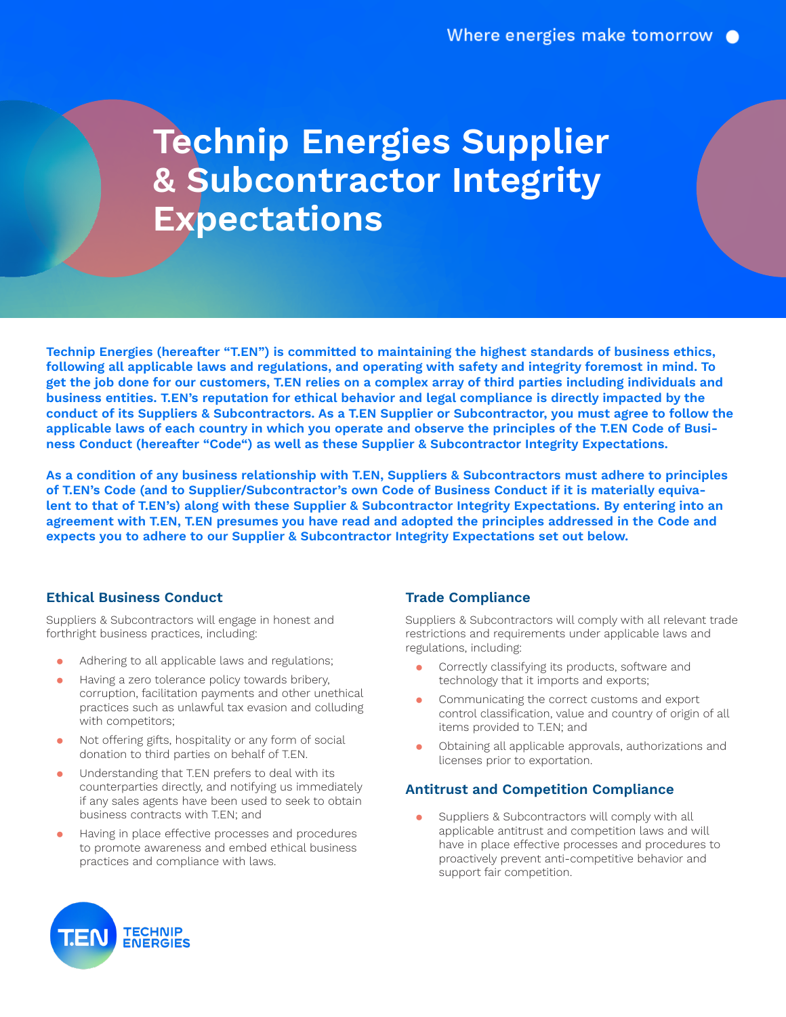# **Technip Energies Supplier & Subcontractor Integrity Expectations**

ness Conduct (hereafter "Code") as well as these Supplier & Subcontractor Integrity Expectations. conduct of its Suppliers & Subcontractors. As a T.EN Supplier or Subcontractor, you must agree to follow the applicable laws of each country in which you operate and observe the principles of the T.EN Code of Busi-**Technip Energies (hereafter "T.EN") is committed to maintaining the highest standards of business ethics, following all applicable laws and regulations, and operating with safety and integrity foremost in mind. To get the job done for our customers, T.EN relies on a complex array of third parties including individuals and business entities. T.EN's reputation for ethical behavior and legal compliance is directly impacted by the** 

agreement with T.EN, T.EN presumes you have read and adopted the principles addressed in the Code and As a condition of any business relationship with T.EN, Suppliers & Subcontractors must adhere to principles of T.EN's Code (and to Supplier/Subcontractor's own Code of Business Conduct if it is materially equiva**lent to that of T.EN's) along with these Supplier & Subcontractor Integrity Expectations. By entering into an expects you to adhere to our Supplier & Subcontractor Integrity Expectations set out below.**

#### **Ethical Business Conduct**

Suppliers & Subcontractors will engage in honest and forthright business practices, including:

- Adhering to all applicable laws and regulations;
- Having a zero tolerance policy towards bribery, corruption, facilitation payments and other unethical practices such as unlawful tax evasion and colluding with competitors;
- ⚫ Not offering gifts, hospitality or any form of social donation to third parties on behalf of T.EN.
- ⚫ Understanding that T.EN prefers to deal with its counterparties directly, and notifying us immediately if any sales agents have been used to seek to obtain business contracts with T.EN; and
- ⚫ Having in place effective processes and procedures to promote awareness and embed ethical business practices and compliance with laws.

# **Trade Compliance**

Suppliers & Subcontractors will comply with all relevant trade restrictions and requirements under applicable laws and regulations, including:

- ⚫ Correctly classifying its products, software and technology that it imports and exports;
- ⚫ Communicating the correct customs and export control classification, value and country of origin of all items provided to T.EN; and
- ⚫ Obtaining all applicable approvals, authorizations and licenses prior to exportation.

# **Antitrust and Competition Compliance**

Suppliers & Subcontractors will comply with all applicable antitrust and competition laws and will have in place effective processes and procedures to proactively prevent anti-competitive behavior and support fair competition.